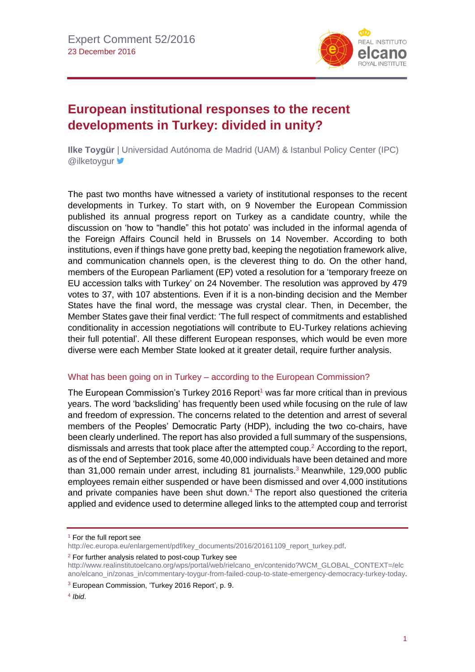

# **European institutional responses to the recent developments in Turkey: divided in unity?**

**Ilke Toygür** | Universidad Autónoma de Madrid (UAM) & Istanbul Policy Center (IPC) **@ilketoygur** 

The past two months have witnessed a variety of institutional responses to the recent developments in Turkey. To start with, on 9 November the European Commission published its annual progress report on Turkey as a candidate country, while the discussion on 'how to "handle" this hot potato' was included in the informal agenda of the Foreign Affairs Council held in Brussels on 14 November. According to both institutions, even if things have gone pretty bad, keeping the negotiation framework alive, and communication channels open, is the cleverest thing to do. On the other hand, members of the European Parliament (EP) voted a resolution for a 'temporary freeze on EU accession talks with Turkey' on 24 November. The resolution was approved by 479 votes to 37, with 107 abstentions. Even if it is a non-binding decision and the Member States have the final word, the message was crystal clear. Then, in December, the Member States gave their final verdict: 'The full respect of commitments and established conditionality in accession negotiations will contribute to EU-Turkey relations achieving their full potential'. All these different European responses, which would be even more diverse were each Member State looked at it greater detail, require further analysis.

#### What has been going on in Turkey – according to the European Commission?

The European Commission's Turkey 2016 Report<sup>1</sup> was far more critical than in previous years. The word 'backsliding' has frequently been used while focusing on the rule of law and freedom of expression. The concerns related to the detention and arrest of several members of the Peoples' Democratic Party (HDP), including the two co-chairs, have been clearly underlined. The report has also provided a full summary of the suspensions, dismissals and arrests that took place after the attempted coup.<sup>2</sup> According to the report, as of the end of September 2016, some 40,000 individuals have been detained and more than 31,000 remain under arrest, including 81 journalists.<sup>3</sup> Meanwhile, 129,000 public employees remain either suspended or have been dismissed and over 4,000 institutions and private companies have been shut down. <sup>4</sup> The report also questioned the criteria applied and evidence used to determine alleged links to the attempted coup and terrorist

<sup>2</sup> For further analysis related to post-coup Turkey see

<sup>&</sup>lt;sup>1</sup> For the full report see

[http://ec.europa.eu/enlargement/pdf/key\\_documents/2016/20161109\\_report\\_turkey.pdf.](http://ec.europa.eu/enlargement/pdf/key_documents/2016/20161109_report_turkey.pdf)

[http://www.realinstitutoelcano.org/wps/portal/web/rielcano\\_en/contenido?WCM\\_GLOBAL\\_CONTEXT=/elc](http://www.realinstitutoelcano.org/wps/portal/web/rielcano_en/contenido?WCM_GLOBAL_CONTEXT=/elcano/elcano_in/zonas_in/commentary-toygur-from-failed-coup-to-state-emergency-democracy-turkey-today) [ano/elcano\\_in/zonas\\_in/commentary-toygur-from-failed-coup-to-state-emergency-democracy-turkey-today.](http://www.realinstitutoelcano.org/wps/portal/web/rielcano_en/contenido?WCM_GLOBAL_CONTEXT=/elcano/elcano_in/zonas_in/commentary-toygur-from-failed-coup-to-state-emergency-democracy-turkey-today)

<sup>3</sup> European Commission, 'Turkey 2016 Report', p. 9.

<sup>4</sup> *Ibid*.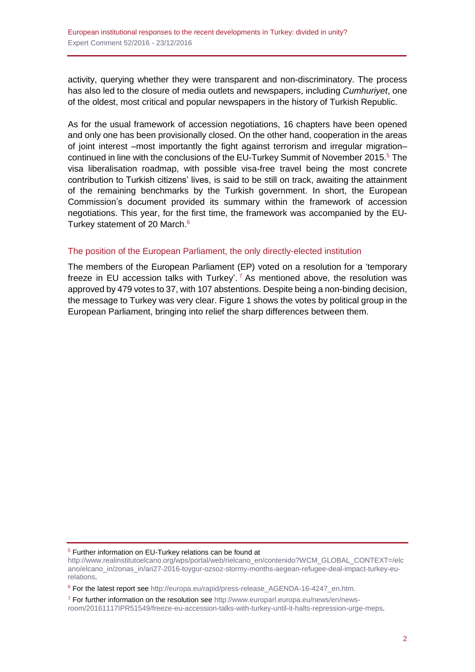activity, querying whether they were transparent and non-discriminatory. The process has also led to the closure of media outlets and newspapers, including *Cumhuriyet*, one of the oldest, most critical and popular newspapers in the history of Turkish Republic.

As for the usual framework of accession negotiations, 16 chapters have been opened and only one has been provisionally closed. On the other hand, cooperation in the areas of joint interest –most importantly the fight against terrorism and irregular migration– continued in line with the conclusions of the EU-Turkey Summit of November 2015. <sup>5</sup> The visa liberalisation roadmap, with possible visa-free travel being the most concrete contribution to Turkish citizens' lives, is said to be still on track, awaiting the attainment of the remaining benchmarks by the Turkish government. In short, the European Commission's document provided its summary within the framework of accession negotiations. This year, for the first time, the framework was accompanied by the EU-Turkey statement of 20 March.<sup>6</sup>

### The position of the European Parliament, the only directly-elected institution

The members of the European Parliament (EP) voted on a resolution for a 'temporary freeze in EU accession talks with Turkey'.<sup>7</sup> As mentioned above, the resolution was approved by 479 votes to 37, with 107 abstentions. Despite being a non-binding decision, the message to Turkey was very clear. Figure 1 shows the votes by political group in the European Parliament, bringing into relief the sharp differences between them.

<sup>5</sup> Further information on EU-Turkey relations can be found at

[http://www.realinstitutoelcano.org/wps/portal/web/rielcano\\_en/contenido?WCM\\_GLOBAL\\_CONTEXT=/elc](http://www.realinstitutoelcano.org/wps/portal/web/rielcano_en/contenido?WCM_GLOBAL_CONTEXT=/elcano/elcano_in/zonas_in/ari27-2016-toygur-ozsoz-stormy-months-aegean-refugee-deal-impact-turkey-eu-relations) [ano/elcano\\_in/zonas\\_in/ari27-2016-toygur-ozsoz-stormy-months-aegean-refugee-deal-impact-turkey-eu](http://www.realinstitutoelcano.org/wps/portal/web/rielcano_en/contenido?WCM_GLOBAL_CONTEXT=/elcano/elcano_in/zonas_in/ari27-2016-toygur-ozsoz-stormy-months-aegean-refugee-deal-impact-turkey-eu-relations)[relations.](http://www.realinstitutoelcano.org/wps/portal/web/rielcano_en/contenido?WCM_GLOBAL_CONTEXT=/elcano/elcano_in/zonas_in/ari27-2016-toygur-ozsoz-stormy-months-aegean-refugee-deal-impact-turkey-eu-relations)

<sup>6</sup> For the latest report see [http://europa.eu/rapid/press-release\\_AGENDA-16-4247\\_en.htm.](http://europa.eu/rapid/press-release_AGENDA-16-4247_en.htm)

<sup>7</sup> For further information on the resolution see [http://www.europarl.europa.eu/news/en/news](http://www.europarl.europa.eu/news/en/news-room/20161117IPR51549/freeze-eu-accession-talks-with-turkey-until-it-halts-repression-urge-meps)[room/20161117IPR51549/freeze-eu-accession-talks-with-turkey-until-it-halts-repression-urge-meps.](http://www.europarl.europa.eu/news/en/news-room/20161117IPR51549/freeze-eu-accession-talks-with-turkey-until-it-halts-repression-urge-meps)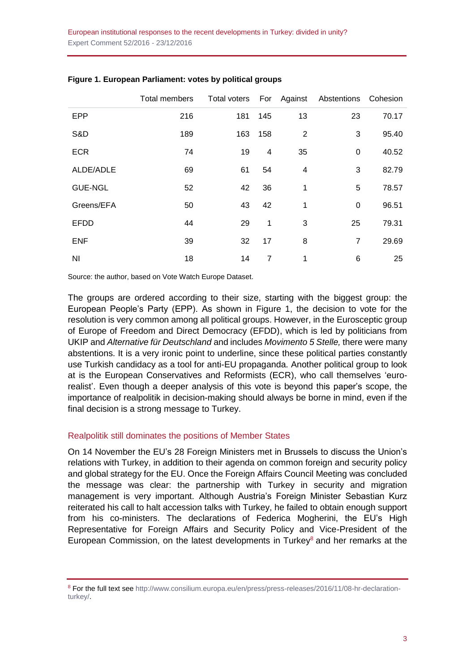|                | Total members | Total voters For Against |     |                | Abstentions Cohesion |       |
|----------------|---------------|--------------------------|-----|----------------|----------------------|-------|
| <b>EPP</b>     | 216           | 181                      | 145 | 13             | 23                   | 70.17 |
| S&D            | 189           | 163                      | 158 | $\overline{2}$ | 3                    | 95.40 |
| <b>ECR</b>     | 74            | 19                       | 4   | 35             | 0                    | 40.52 |
| ALDE/ADLE      | 69            | 61                       | 54  | 4              | 3                    | 82.79 |
| <b>GUE-NGL</b> | 52            | 42                       | 36  | 1              | 5                    | 78.57 |
| Greens/EFA     | 50            | 43                       | 42  | 1              | 0                    | 96.51 |
| <b>EFDD</b>    | 44            | 29                       | 1   | 3              | 25                   | 79.31 |
| <b>ENF</b>     | 39            | 32                       | 17  | 8              | $\overline{7}$       | 29.69 |
| NI             | 18            | 14                       | 7   | 1              | 6                    | 25    |

#### **Figure 1. European Parliament: votes by political groups**

Source: the author, based on Vote Watch Europe Dataset.

The groups are ordered according to their size, starting with the biggest group: the European People's Party (EPP). As shown in Figure 1, the decision to vote for the resolution is very common among all political groups. However, in the Eurosceptic group of Europe of Freedom and Direct Democracy (EFDD), which is led by politicians from UKIP and *Alternative für Deutschland* and includes *Movimento 5 Stelle,* there were many abstentions. It is a very ironic point to underline, since these political parties constantly use Turkish candidacy as a tool for anti-EU propaganda. Another political group to look at is the European Conservatives and Reformists (ECR), who call themselves 'eurorealist'. Even though a deeper analysis of this vote is beyond this paper's scope, the importance of realpolitik in decision-making should always be borne in mind, even if the final decision is a strong message to Turkey.

#### Realpolitik still dominates the positions of Member States

On 14 November the EU's 28 Foreign Ministers met in Brussels to discuss the Union's relations with Turkey, in addition to their agenda on common foreign and security policy and global strategy for the EU. Once the Foreign Affairs Council Meeting was concluded the message was clear: the partnership with Turkey in security and migration management is very important. Although Austria's Foreign Minister Sebastian Kurz reiterated his call to halt accession talks with Turkey, he failed to obtain enough support from his co-ministers. The declarations of Federica Mogherini, the EU's High Representative for Foreign Affairs and Security Policy and Vice-President of the European Commission, on the latest developments in Turkey $\delta$  and her remarks at the

<sup>8</sup> For the full text see [http://www.consilium.europa.eu/en/press/press-releases/2016/11/08-hr-declaration](http://www.consilium.europa.eu/en/press/press-releases/2016/11/08-hr-declaration-turkey/)[turkey/.](http://www.consilium.europa.eu/en/press/press-releases/2016/11/08-hr-declaration-turkey/)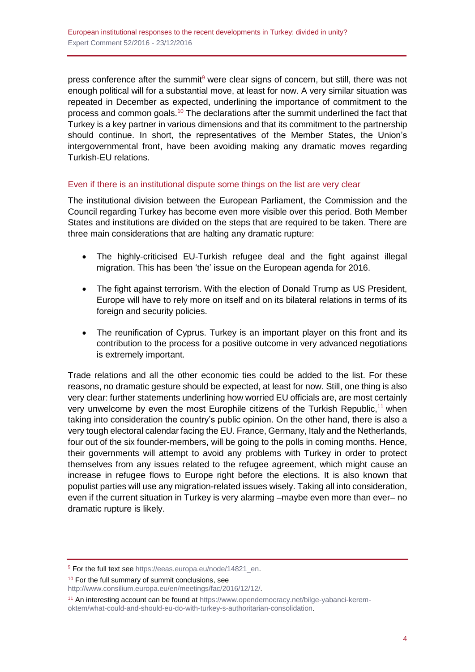press conference after the summit<sup>9</sup> were clear signs of concern, but still, there was not enough political will for a substantial move, at least for now. A very similar situation was repeated in December as expected, underlining the importance of commitment to the process and common goals.<sup>10</sup> The declarations after the summit underlined the fact that Turkey is a key partner in various dimensions and that its commitment to the partnership should continue. In short, the representatives of the Member States, the Union's intergovernmental front, have been avoiding making any dramatic moves regarding Turkish-EU relations.

## Even if there is an institutional dispute some things on the list are very clear

The institutional division between the European Parliament, the Commission and the Council regarding Turkey has become even more visible over this period. Both Member States and institutions are divided on the steps that are required to be taken. There are three main considerations that are halting any dramatic rupture:

- The highly-criticised EU-Turkish refugee deal and the fight against illegal migration. This has been 'the' issue on the European agenda for 2016.
- The fight against terrorism. With the election of Donald Trump as US President, Europe will have to rely more on itself and on its bilateral relations in terms of its foreign and security policies.
- The reunification of Cyprus. Turkey is an important player on this front and its contribution to the process for a positive outcome in very advanced negotiations is extremely important.

Trade relations and all the other economic ties could be added to the list. For these reasons, no dramatic gesture should be expected, at least for now. Still, one thing is also very clear: further statements underlining how worried EU officials are, are most certainly very unwelcome by even the most Europhile citizens of the Turkish Republic,<sup>11</sup> when taking into consideration the country's public opinion. On the other hand, there is also a very tough electoral calendar facing the EU. France, Germany, Italy and the Netherlands, four out of the six founder-members, will be going to the polls in coming months. Hence, their governments will attempt to avoid any problems with Turkey in order to protect themselves from any issues related to the refugee agreement, which might cause an increase in refugee flows to Europe right before the elections. It is also known that populist parties will use any migration-related issues wisely. Taking all into consideration, even if the current situation in Turkey is very alarming –maybe even more than ever– no dramatic rupture is likely.

<sup>10</sup> For the full summary of summit conclusions, see

<sup>&</sup>lt;sup>9</sup> For the full text see [https://eeas.europa.eu/node/14821\\_en.](https://eeas.europa.eu/node/14821_en)

[http://www.consilium.europa.eu/en/meetings/fac/2016/12/12/.](http://www.consilium.europa.eu/en/meetings/fac/2016/12/12/)

<sup>&</sup>lt;sup>11</sup> An interesting account can be found at [https://www.opendemocracy.net/bilge-yabanci-kerem](https://www.opendemocracy.net/bilge-yabanci-kerem-oktem/what-could-and-should-eu-do-with-turkey-s-authoritarian-consolidation)[oktem/what-could-and-should-eu-do-with-turkey-s-authoritarian-consolidation.](https://www.opendemocracy.net/bilge-yabanci-kerem-oktem/what-could-and-should-eu-do-with-turkey-s-authoritarian-consolidation)